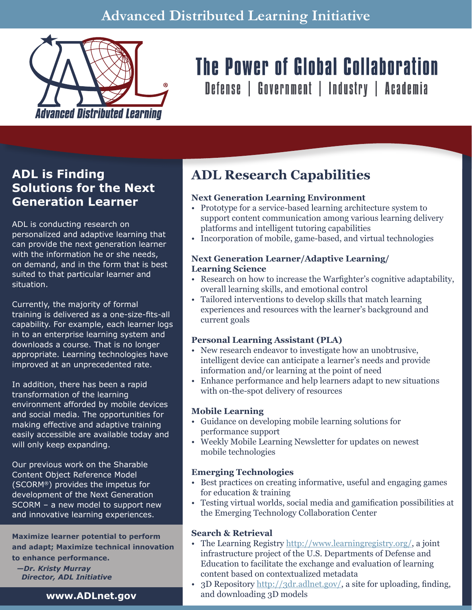

# The Power of Global Collaboration

Defense | Government | Industry | Academia

### **ADL is Finding Solutions for the Next Generation Learner**

ADL is conducting research on personalized and adaptive learning that can provide the next generation learner with the information he or she needs, on demand, and in the form that is best suited to that particular learner and situation.

Currently, the majority of formal training is delivered as a one-size-fits-all capability. For example, each learner logs in to an enterprise learning system and downloads a course. That is no longer appropriate. Learning technologies have improved at an unprecedented rate.

In addition, there has been a rapid transformation of the learning environment afforded by mobile devices and social media. The opportunities for making effective and adaptive training easily accessible are available today and will only keep expanding.

Our previous work on the Sharable Content Object Reference Model (SCORM®) provides the impetus for development of the Next Generation SCORM – a new model to support new and innovative learning experiences.

**Maximize learner potential to perform and adapt; Maximize technical innovation to enhance performance.**

*—Dr. Kristy Murray Director, ADL Initiative*

## **ADL Research Capabilities**

#### **Next Generation Learning Environment**

- Prototype for a service-based learning architecture system to support content communication among various learning delivery platforms and intelligent tutoring capabilities
- Incorporation of mobile, game-based, and virtual technologies

#### **Next Generation Learner/Adaptive Learning/ Learning Science**

- Research on how to increase the Warfighter's cognitive adaptability, overall learning skills, and emotional control
- Tailored interventions to develop skills that match learning experiences and resources with the learner's background and current goals

#### **Personal Learning Assistant (PLA)**

- New research endeavor to investigate how an unobtrusive, intelligent device can anticipate a learner's needs and provide information and/or learning at the point of need
- Enhance performance and help learners adapt to new situations with on-the-spot delivery of resources

#### **Mobile Learning**

- Guidance on developing mobile learning solutions for performance support
- Weekly Mobile Learning Newsletter for updates on newest mobile technologies

#### **Emerging Technologies**

- Best practices on creating informative, useful and engaging games for education & training
- Testing virtual worlds, social media and gamification possibilities at the Emerging Technology Collaboration Center

#### **Search & Retrieval**

- The Learning Registry http://www.learningregistry.org/, a joint infrastructure project of the U.S. Departments of Defense and Education to facilitate the exchange and evaluation of learning content based on contextualized metadata
- 3D Repository  $\frac{http://3dr.addnet.gov/}{http://3dr.addnet.gov/}$ , a site for uploading, finding, and downloading 3D models

**www.ADLnet.gov**